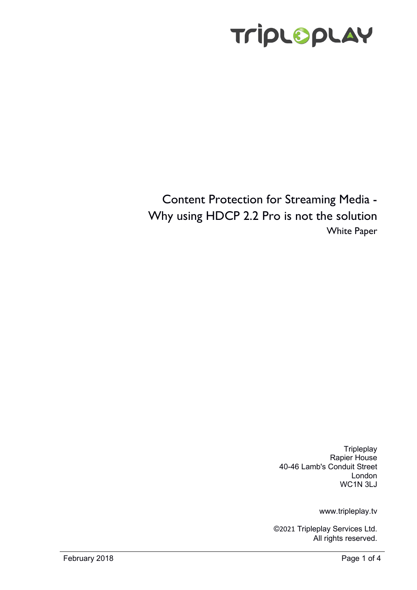

Content Protection for Streaming Media - Why using HDCP 2.2 Pro is not the solution White Paper

> **Tripleplay** Rapier House 40-46 Lamb's Conduit Street London WC1N 3LJ

> > www.tripleplay.tv

©2021 Tripleplay Services Ltd. All rights reserved.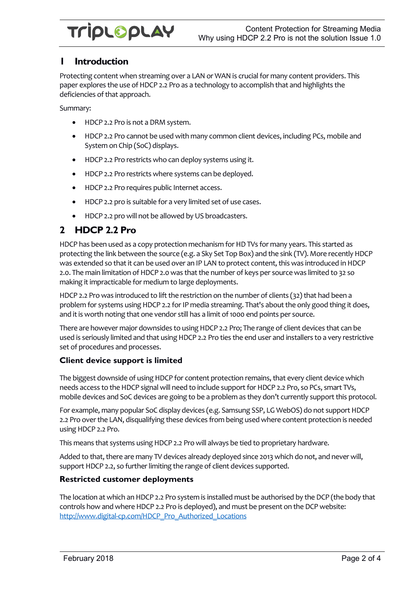# TripLOpLAY

## **Introduction**

Protecting content when streaming over a LAN or WAN is crucial for many content providers. This paper explores the use of HDCP 2.2 Pro as a technology to accomplish that and highlights the deficiencies of that approach.

Summary:

- HDCP 2.2 Pro is not a DRM system.
- HDCP 2.2 Pro cannot be used with many common client devices, including PCs, mobile and System on Chip (SoC) displays.
- HDCP 2.2 Pro restricts who can deploy systems using it.
- HDCP 2.2 Pro restricts where systems can be deployed.
- HDCP 2.2 Pro requires public Internet access.
- HDCP 2.2 pro is suitable for a very limited set of use cases.
- HDCP 2.2 pro will not be allowed by US broadcasters.

# 2 HDCP 2.2 Pro

HDCP has been used as a copy protection mechanism for HD TVs for many years. This started as protecting the link between the source (e.g. a Sky Set Top Box) and the sink (TV). More recently HDCP was extended so that it can be used over an IP LAN to protect content, this was introduced in HDCP 2.0. The main limitation of HDCP 2.0 was that the number of keys per source was limited to 32 so making it impracticable for medium to large deployments.

HDCP 2.2 Pro was introduced to lift the restriction on the number of clients (32) that had been a problem for systems using HDCP 2.2 for IP media streaming. That's about the only good thing it does, and it is worth noting that one vendor still has a limit of 1000 end points per source.

There are however major downsides to using HDCP 2.2 Pro; The range of client devices that can be used is seriously limited and that using HDCP 2.2 Pro ties the end user and installers to a very restrictive set of procedures and processes.

## Client device support is limited

The biggest downside of using HDCP for content protection remains, that every client device which needs access to the HDCP signal will need to include support for HDCP 2.2 Pro, so PCs, smart TVs, mobile devices and SoC devices are going to be a problem as they don't currently support this protocol.

For example, many popular SoC display devices (e.g. Samsung SSP, LG WebOS) do not support HDCP 2.2 Pro over the LAN, disqualifying these devices from being used where content protection is needed using HDCP 2.2 Pro.

This means that systems using HDCP 2.2 Pro will always be tied to proprietary hardware.

Added to that, there are many TV devices already deployed since 2013 which do not, and never will, support HDCP 2.2, so further limiting the range of client devices supported.

## Restricted customer deployments

The location at which an HDCP 2.2 Pro system is installed must be authorised by the DCP (the body that controls how and where HDCP 2.2 Pro is deployed), and must be present on the DCP website: [http://www.digital-cp.com/HDCP\\_Pro\\_Authorized\\_Locations](http://www.digital-cp.com/HDCP_Pro_Authorized_Locations)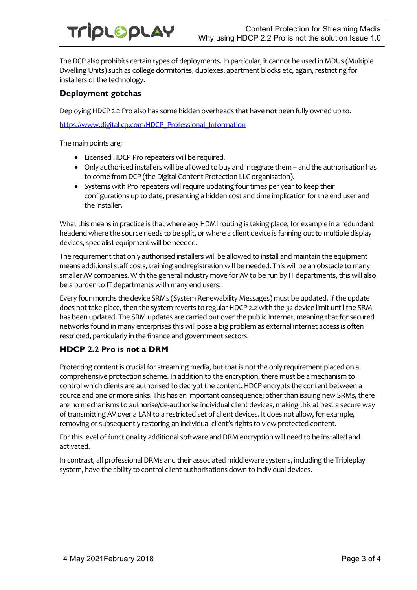# TripLOpLAY

The DCP also prohibits certain types of deployments. In particular, it cannot be used in MDUs (Multiple Dwelling Units) such as college dormitories, duplexes, apartment blocks etc, again, restricting for installers of the technology.

#### Deployment gotchas

Deploying HDCP 2.2 Pro also has some hidden overheads that have not been fully owned up to.

[https://www.digital-cp.com/HDCP\\_Professional\\_Information](https://www.digital-cp.com/HDCP_Professional_Information)

The main points are;

- Licensed HDCP Pro repeaters will be required.
- Only authorised installers will be allowed to buy and integrate them and the authorisation has to come from DCP (the Digital Content Protection LLC organisation).
- Systems with Pro repeaters will require updating four times per year to keep their configurations up to date, presenting a hidden cost and time implication for the end user and the installer.

What this means in practice is that where any HDMI routing is taking place, for example in a redundant headend where the source needs to be split, or where a client device is fanning out to multiple display devices, specialist equipment will be needed.

The requirement that only authorised installers will be allowed to install and maintain the equipment means additional staff costs, training and registration will be needed. This will be an obstacle to many smaller AV companies. With the general industry move for AV to be run by IT departments, this will also be a burden to IT departments with many end users.

Every four months the device SRMs (System Renewability Messages) must be updated. If the update does not take place, then the system reverts to regular HDCP 2.2 with the 32 device limit until the SRM has been updated. The SRM updates are carried out over the public Internet, meaning that for secured networks found in many enterprises this will pose a big problem as external internet access is often restricted, particularly in the finance and government sectors.

## HDCP 2.2 Pro is not a DRM

Protecting content is crucial for streaming media, but that is not the only requirement placed on a comprehensive protection scheme. In addition to the encryption, there must be a mechanism to control which clients are authorised to decrypt the content. HDCP encrypts the content between a source and one or more sinks. This has an important consequence; other than issuing new SRMs, there are no mechanisms to authorise/de-authorise individual client devices, making this at best a secure way of transmitting AV over a LAN to a restricted set of client devices. It does not allow, for example, removing or subsequently restoring an individual client's rights to view protected content.

For this level of functionality additional software and DRM encryption will need to be installed and activated.

In contrast, all professional DRMs and their associated middleware systems, including the Tripleplay system, have the ability to control client authorisations down to individual devices.